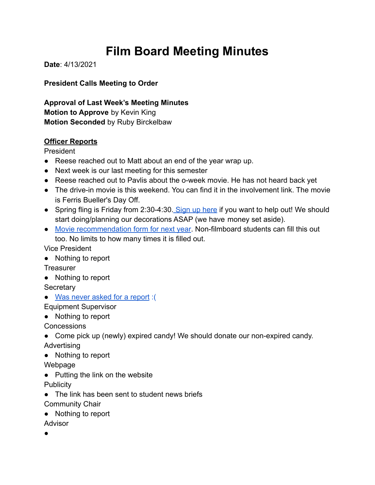# **Film Board Meeting Minutes**

**Date**: 4/13/2021

### **President Calls Meeting to Order**

**Approval of Last Week's Meeting Minutes Motion to Approve** by Kevin King **Motion Seconded** by Ruby Birckelbaw

#### **Officer Reports**

President

- Reese reached out to Matt about an end of the year wrap up.
- Next week is our last meeting for this semester
- Reese reached out to Pavlis about the o-week movie. He has not heard back yet
- The drive-in movie is this weekend. You can find it in the involvement link. The movie is Ferris Bueller's Day Off.
- Spring fling is Friday from 2:30-4:30. [Sign up here](https://docs.google.com/spreadsheets/d/1pDJxY2UbrGhxpjbkxN63D7osA69NGTb-dI5m42W1INk/edit#gid=0) if you want to help out! We should start doing/planning our decorations ASAP (we have money set aside).
- [Movie recommendation form for next year](https://forms.gle/F3m18RpvRn3U5BAd9). Non-filmboard students can fill this out too. No limits to how many times it is filled out.

Vice President

● Nothing to report

**Treasurer** 

● Nothing to report

**Secretary** 

● [Was never asked for a report](https://youtu.be/bMtTxhfDuZc) :(

Equipment Supervisor

● Nothing to report

**Concessions** 

- Come pick up (newly) expired candy! We should donate our non-expired candy. Advertising
- Nothing to report

Webpage

● Putting the link on the website

**Publicity** 

- The link has been sent to student news briefs
- Community Chair
- Nothing to report
- Advisor
- ●